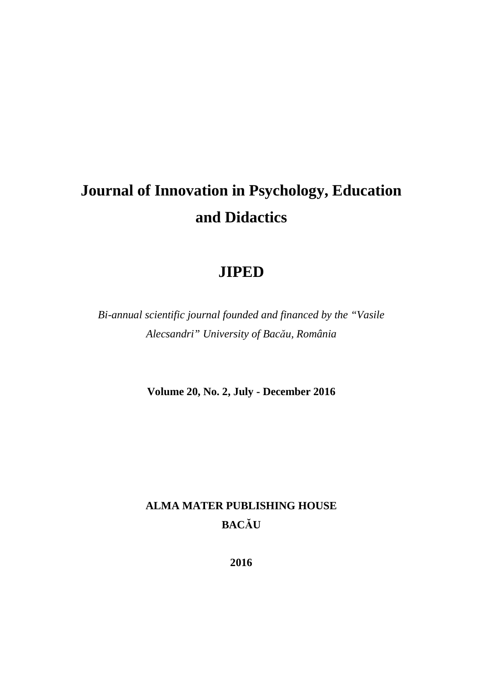# **Journal of Innovation in Psychology, Education and Didactics**

# **JIPED**

*Bi-annual scientific journal founded and financed by the "Vasile Alecsandri" University of Bacău, România*

**Volume 20, No. 2, July - December 2016** 

# **ALMA MATER PUBLISHING HOUSE BACĂU**

**2016**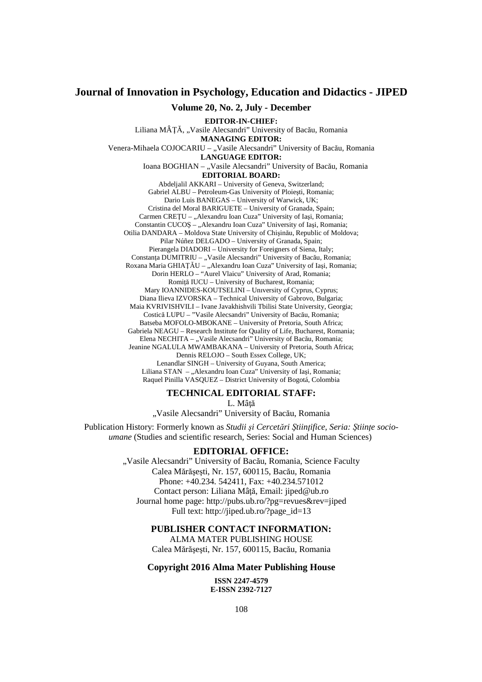# **Journal of Innovation in Psychology, Education and Didactics - JIPED**

**Volume 20, No. 2, July - December** 

**EDITOR-IN-CHIEF:**  Liliana MÂȚĂ, "Vasile Alecsandri" University of Bacău, Romania **MANAGING EDITOR:** 

Venera-Mihaela COJOCARIU – "Vasile Alecsandri" University of Bacău, Romania

**LANGUAGE EDITOR:**

Ioana BOGHIAN – "Vasile Alecsandri" University of Bacău, Romania **EDITORIAL BOARD:**

Abdeljalil AKKARI – University of Geneva, Switzerland; Gabriel ALBU – Petroleum-Gas University of Ploieşti, Romania; Dario Luis BANEGAS – University of Warwick, UK; Cristina del Moral BARIGUETE – University of Granada, Spain; Carmen CREȚU – "Alexandru Ioan Cuza" University of Iași, Romania; Constantin CUCOŞ - "Alexandru Ioan Cuza" University of Iași, Romania; Otilia DANDARA – Moldova State University of Chişinău, Republic of Moldova; Pilar Núñez DELGADO – University of Granada, Spain; Pierangela DIADORI – University for Foreigners of Siena, Italy; Constanta DUMITRIU – "Vasile Alecsandri" University of Bacău, Romania; Roxana Maria GHIAȚĂU – "Alexandru Ioan Cuza" University of Iași, Romania; Dorin HERLO – "Aurel Vlaicu" University of Arad, Romania; Romită IUCU – University of Bucharest, Romania; Mary IOANNIDES-KOUTSELINI – Unıversity of Cyprus, Cyprus; Diana Ilieva IZVORSKA – Technical University of Gabrovo, Bulgaria; Maia KVRIVISHVILI – Ivane Javakhishvili Tbilisi State University, Georgia; Costică LUPU – "Vasile Alecsandri" University of Bacău, Romania; Batseba MOFOLO-MBOKANE – University of Pretoria, South Africa; Gabriela NEAGU – Research Institute for Quality of Life, Bucharest, Romania; Elena NECHITA – "Vasile Alecsandri" University of Bacău, Romania; Jeanine NGALULA MWAMBAKANA – University of Pretoria, South Africa; Dennis RELOJO – South Essex College, UK; Lenandlar SINGH – University of Guyana, South America; Liliana STAN - "Alexandru Ioan Cuza" University of Iași, Romania; Raquel Pinilla VASQUEZ – District University of Bogotá, Colombia

# **TECHNICAL EDITORIAL STAFF:**

L. Mâţă

"Vasile Alecsandri" University of Bacău, Romania

Publication History: Formerly known as *Studii şi Cercetări Ştiinţifice, Seria: Ştiinţe socioumane* (Studies and scientific research, Series: Social and Human Sciences)

# **EDITORIAL OFFICE:**

". Vasile Alecsandri" University of Bacău, Romania, Science Faculty Calea Mărăşeşti, Nr. 157, 600115, Bacău, Romania Phone: +40.234. 542411, Fax: +40.234.571012 Contact person: Liliana Mâţă, Email: jiped@ub.ro Journal home page: http://pubs.ub.ro/?pg=revues&rev=jiped Full text: http://jiped.ub.ro/?page\_id=13

#### **PUBLISHER CONTACT INFORMATION:**

ALMA MATER PUBLISHING HOUSE Calea Mărăşeşti, Nr. 157, 600115, Bacău, Romania

#### **Copyright 2016 Alma Mater Publishing House**

**ISSN 2247-4579 E-ISSN 2392-7127**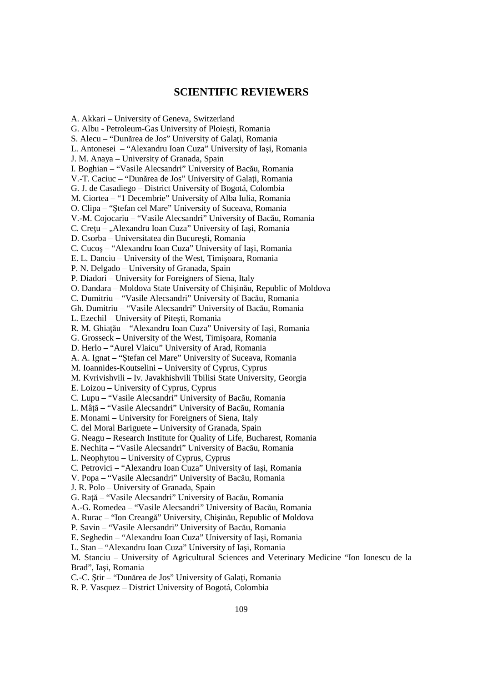# **SCIENTIFIC REVIEWERS**

A. Akkari – University of Geneva, Switzerland G. Albu - Petroleum-Gas University of Ploieşti, Romania S. Alecu – "Dunărea de Jos" University of Galati, Romania L. Antonesei – "Alexandru Ioan Cuza" University of Iaşi, Romania J. M. Anaya – University of Granada, Spain I. Boghian – "Vasile Alecsandri" University of Bacău, Romania V.-T. Caciuc – "Dunărea de Jos" University of Galaţi, Romania G. J. de Casadiego – District University of Bogotá, Colombia M. Ciortea – "1 Decembrie" University of Alba Iulia, Romania O. Clipa – "Ştefan cel Mare" University of Suceava, Romania V.-M. Cojocariu – "Vasile Alecsandri" University of Bacău, Romania C. Cretu – "Alexandru Ioan Cuza" University of Iasi, Romania D. Csorba – Universitatea din Bucureşti, Romania C. Cucoş – "Alexandru Ioan Cuza" University of Iaşi, Romania E. L. Danciu – University of the West, Timişoara, Romania P. N. Delgado – University of Granada, Spain P. Diadori – University for Foreigners of Siena, Italy O. Dandara – Moldova State University of Chişinău, Republic of Moldova C. Dumitriu – "Vasile Alecsandri" University of Bacău, Romania Gh. Dumitriu – "Vasile Alecsandri" University of Bacău, Romania L. Ezechil – University of Piteşti, Romania R. M. Ghiaţău – "Alexandru Ioan Cuza" University of Iaşi, Romania G. Grosseck – University of the West, Timişoara, Romania D. Herlo – "Aurel Vlaicu" University of Arad, Romania A. A. Ignat – "Ştefan cel Mare" University of Suceava, Romania M. Ioannides-Koutselini – University of Cyprus, Cyprus M. Kvrivishvili – Iv. Javakhishvili Tbilisi State University, Georgia E. Loizou – University of Cyprus, Cyprus C. Lupu – "Vasile Alecsandri" University of Bacău, Romania L. Mâţă – "Vasile Alecsandri" University of Bacău, Romania E. Monami – University for Foreigners of Siena, Italy C. del Moral Bariguete – University of Granada, Spain G. Neagu – Research Institute for Quality of Life, Bucharest, Romania E. Nechita – "Vasile Alecsandri" University of Bacău, Romania L. Neophytou – University of Cyprus, Cyprus C. Petrovici – "Alexandru Ioan Cuza" University of Iaşi, Romania V. Popa – "Vasile Alecsandri" University of Bacău, Romania J. R. Polo – University of Granada, Spain G. Rată – "Vasile Alecsandri" University of Bacău, Romania A.-G. Romedea – "Vasile Alecsandri" University of Bacău, Romania A. Rurac – "Ion Creangă" University, Chişinău, Republic of Moldova P. Savin – "Vasile Alecsandri" University of Bacău, Romania E. Seghedin – "Alexandru Ioan Cuza" University of Iaşi, Romania L. Stan – "Alexandru Ioan Cuza" University of Iaşi, Romania M. Stanciu – University of Agricultural Sciences and Veterinary Medicine "Ion Ionescu de la Brad", Iaşi, Romania C.-C. Ştir – "Dunărea de Jos" University of Galaţi, Romania R. P. Vasquez – District University of Bogotá, Colombia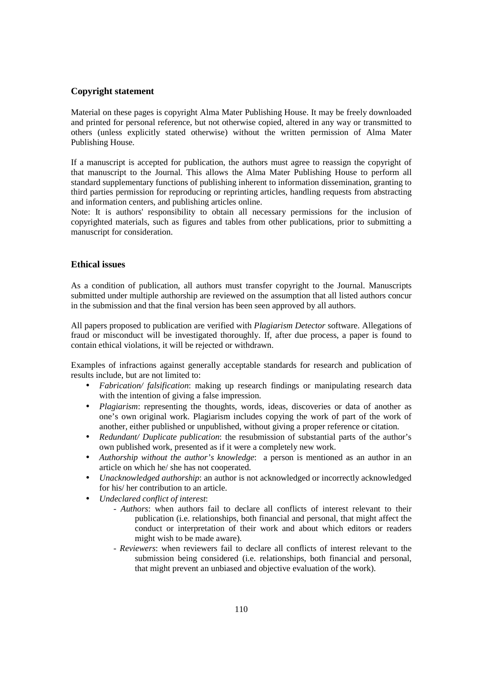### **Copyright statement**

Material on these pages is copyright Alma Mater Publishing House. It may be freely downloaded and printed for personal reference, but not otherwise copied, altered in any way or transmitted to others (unless explicitly stated otherwise) without the written permission of Alma Mater Publishing House.

If a manuscript is accepted for publication, the authors must agree to reassign the copyright of that manuscript to the Journal. This allows the Alma Mater Publishing House to perform all standard supplementary functions of publishing inherent to information dissemination, granting to third parties permission for reproducing or reprinting articles, handling requests from abstracting and information centers, and publishing articles online.

Note: It is authors' responsibility to obtain all necessary permissions for the inclusion of copyrighted materials, such as figures and tables from other publications, prior to submitting a manuscript for consideration.

### **Ethical issues**

As a condition of publication, all authors must transfer copyright to the Journal. Manuscripts submitted under multiple authorship are reviewed on the assumption that all listed authors concur in the submission and that the final version has been seen approved by all authors.

All papers proposed to publication are verified with *Plagiarism Detector* software. Allegations of fraud or misconduct will be investigated thoroughly. If, after due process, a paper is found to contain ethical violations, it will be rejected or withdrawn.

Examples of infractions against generally acceptable standards for research and publication of results include, but are not limited to:

- *Fabrication*/ *falsification*: making up research findings or manipulating research data with the intention of giving a false impression.
- *Plagiarism*: representing the thoughts, words, ideas, discoveries or data of another as one's own original work. Plagiarism includes copying the work of part of the work of another, either published or unpublished, without giving a proper reference or citation.
- *Redundant/ Duplicate publication*: the resubmission of substantial parts of the author's own published work, presented as if it were a completely new work.
- *Authorship without the author's knowledge*: a person is mentioned as an author in an article on which he/ she has not cooperated.
- *Unacknowledged authorship*: an author is not acknowledged or incorrectly acknowledged for his/ her contribution to an article.
- *Undeclared conflict of interest*:
	- *Authors*: when authors fail to declare all conflicts of interest relevant to their publication (i.e. relationships, both financial and personal, that might affect the conduct or interpretation of their work and about which editors or readers might wish to be made aware).
	- *Reviewers*: when reviewers fail to declare all conflicts of interest relevant to the submission being considered (i.e. relationships, both financial and personal, that might prevent an unbiased and objective evaluation of the work).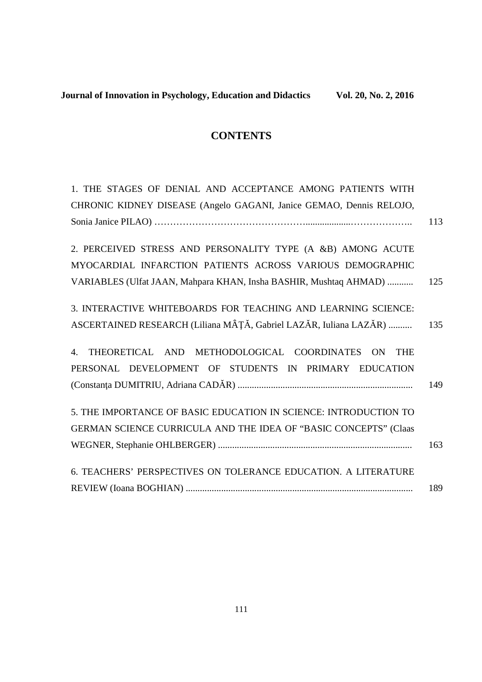# **CONTENTS**

| 1. THE STAGES OF DENIAL AND ACCEPTANCE AMONG PATIENTS WITH          |     |
|---------------------------------------------------------------------|-----|
| CHRONIC KIDNEY DISEASE (Angelo GAGANI, Janice GEMAO, Dennis RELOJO, |     |
|                                                                     | 113 |
|                                                                     |     |
| 2. PERCEIVED STRESS AND PERSONALITY TYPE (A &B) AMONG ACUTE         |     |
| MYOCARDIAL INFARCTION PATIENTS ACROSS VARIOUS DEMOGRAPHIC           |     |
| VARIABLES (Ulfat JAAN, Mahpara KHAN, Insha BASHIR, Mushtaq AHMAD)   | 125 |
|                                                                     |     |
| 3. INTERACTIVE WHITEBOARDS FOR TEACHING AND LEARNING SCIENCE:       |     |
| ASCERTAINED RESEARCH (Liliana MÂȚĂ, Gabriel LAZĂR, Iuliana LAZĂR)   | 135 |
|                                                                     |     |
| THEORETICAL AND METHODOLOGICAL COORDINATES ON<br><b>THE</b><br>4.   |     |
| PERSONAL DEVELOPMENT OF STUDENTS IN PRIMARY EDUCATION               |     |
|                                                                     | 149 |
| 5. THE IMPORTANCE OF BASIC EDUCATION IN SCIENCE: INTRODUCTION TO    |     |
| GERMAN SCIENCE CURRICULA AND THE IDEA OF "BASIC CONCEPTS" (Claas    |     |
|                                                                     |     |
|                                                                     | 163 |
| 6. TEACHERS' PERSPECTIVES ON TOLERANCE EDUCATION. A LITERATURE      |     |
|                                                                     | 189 |
|                                                                     |     |